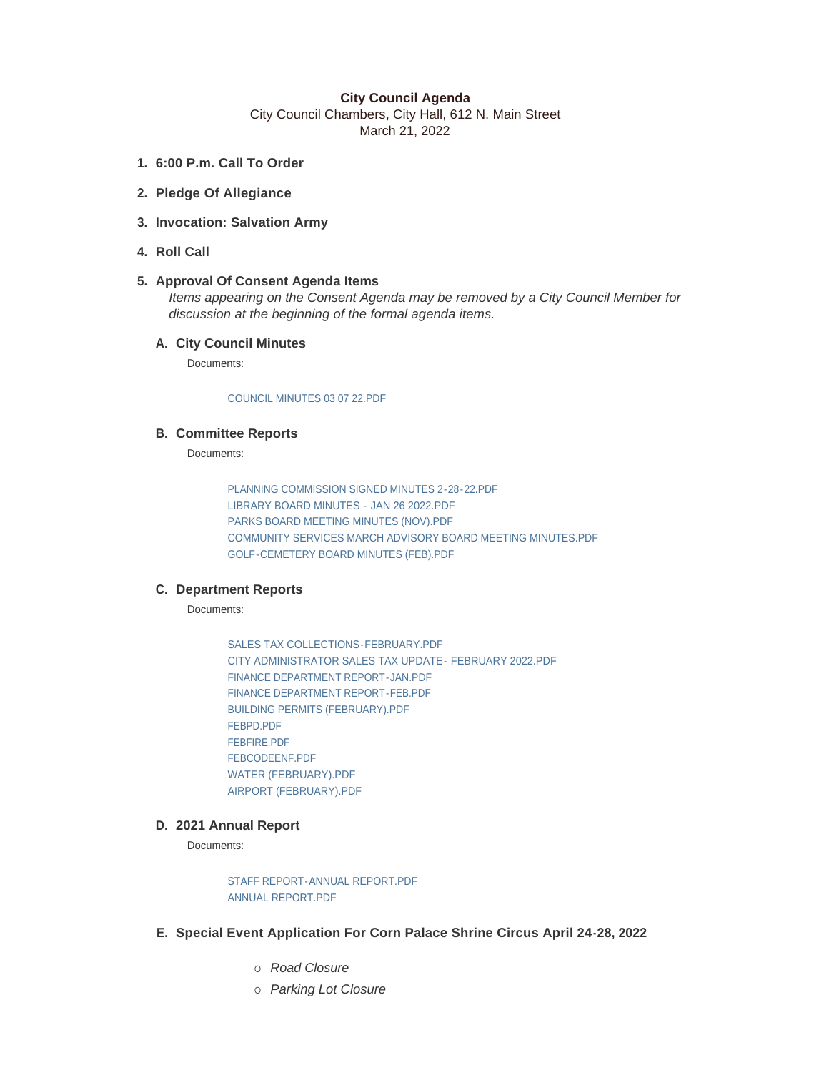## **City Council Agenda**

City Council Chambers, City Hall, 612 N. Main Street March 21, 2022

- **6:00 P.m. Call To Order 1.**
- **Pledge Of Allegiance 2.**
- **Invocation: Salvation Army 3.**
- **Roll Call 4.**

# **Approval Of Consent Agenda Items 5.**

*Items appearing on the Consent Agenda may be removed by a City Council Member for discussion at the beginning of the formal agenda items.* 

## **City Council Minutes A.**

Documents:

#### [COUNCIL MINUTES 03 07 22.PDF](https://www.cityofmitchell.org/AgendaCenter/ViewFile/Item/13354?fileID=18800)

### **Committee Reports B.**

Documents:

[PLANNING COMMISSION SIGNED MINUTES 2-28-22.PDF](https://www.cityofmitchell.org/AgendaCenter/ViewFile/Item/13316?fileID=18923) [LIBRARY BOARD MINUTES - JAN 26 2022.PDF](https://www.cityofmitchell.org/AgendaCenter/ViewFile/Item/13316?fileID=18924) [PARKS BOARD MEETING MINUTES \(NOV\).PDF](https://www.cityofmitchell.org/AgendaCenter/ViewFile/Item/13316?fileID=18877) [COMMUNITY SERVICES MARCH ADVISORY BOARD MEETING MINUTES.PDF](https://www.cityofmitchell.org/AgendaCenter/ViewFile/Item/13316?fileID=18870) [GOLF-CEMETERY BOARD MINUTES \(FEB\).PDF](https://www.cityofmitchell.org/AgendaCenter/ViewFile/Item/13316?fileID=18875)

### **Department Reports C.**

Documents:

[SALES TAX COLLECTIONS-FEBRUARY.PDF](https://www.cityofmitchell.org/AgendaCenter/ViewFile/Item/13394?fileID=18802) [CITY ADMINISTRATOR SALES TAX UPDATE- FEBRUARY 2022.PDF](https://www.cityofmitchell.org/AgendaCenter/ViewFile/Item/13394?fileID=18853) [FINANCE DEPARTMENT REPORT-JAN.PDF](https://www.cityofmitchell.org/AgendaCenter/ViewFile/Item/13394?fileID=18803) [FINANCE DEPARTMENT REPORT-FEB.PDF](https://www.cityofmitchell.org/AgendaCenter/ViewFile/Item/13394?fileID=18856) [BUILDING PERMITS \(FEBRUARY\).PDF](https://www.cityofmitchell.org/AgendaCenter/ViewFile/Item/13394?fileID=18858) [FEBPD.PDF](https://www.cityofmitchell.org/AgendaCenter/ViewFile/Item/13394?fileID=18862) [FEBFIRE.PDF](https://www.cityofmitchell.org/AgendaCenter/ViewFile/Item/13394?fileID=18861) [FEBCODEENF.PDF](https://www.cityofmitchell.org/AgendaCenter/ViewFile/Item/13394?fileID=18926) [WATER \(FEBRUARY\).PDF](https://www.cityofmitchell.org/AgendaCenter/ViewFile/Item/13394?fileID=18859) [AIRPORT \(FEBRUARY\).PDF](https://www.cityofmitchell.org/AgendaCenter/ViewFile/Item/13394?fileID=18857)

# **2021 Annual Report D.**

Documents:

[STAFF REPORT-ANNUAL REPORT.PDF](https://www.cityofmitchell.org/AgendaCenter/ViewFile/Item/13356?fileID=18758) [ANNUAL REPORT.PDF](https://www.cityofmitchell.org/AgendaCenter/ViewFile/Item/13356?fileID=18759)

# **Special Event Application For Corn Palace Shrine Circus April 24-28, 2022 E.**

- ¡ *Road Closure*
- ¡ *Parking Lot Closure*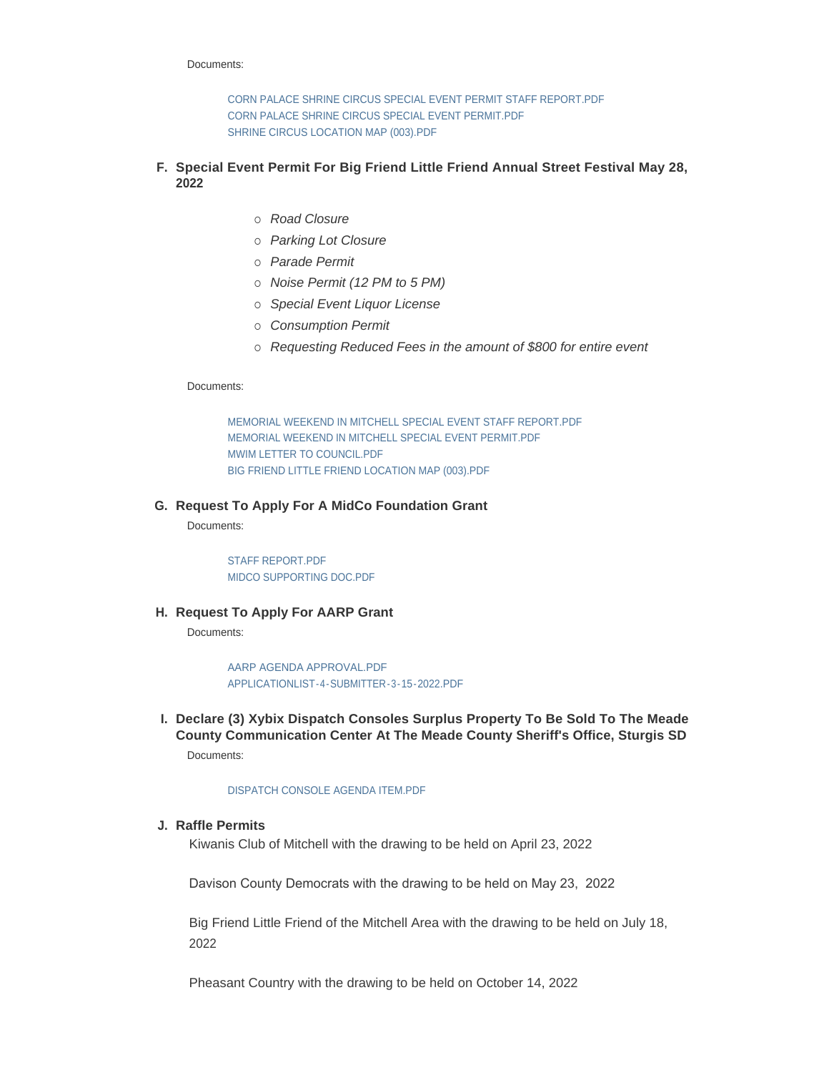Documents:

[CORN PALACE SHRINE CIRCUS SPECIAL EVENT PERMIT STAFF REPORT.PDF](https://www.cityofmitchell.org/AgendaCenter/ViewFile/Item/13430?fileID=18863) [CORN PALACE SHRINE CIRCUS SPECIAL EVENT PERMIT.PDF](https://www.cityofmitchell.org/AgendaCenter/ViewFile/Item/13430?fileID=18864) [SHRINE CIRCUS LOCATION MAP \(003\).PDF](https://www.cityofmitchell.org/AgendaCenter/ViewFile/Item/13430?fileID=18865)

- **Special Event Permit For Big Friend Little Friend Annual Street Festival May 28, F. 2022**
	- ¡ *Road Closure*
	- ¡ *Parking Lot Closure*
	- ¡ *Parade Permit*
	- ¡ *Noise Permit (12 PM to 5 PM)*
	- ¡ *Special Event Liquor License*
	- ¡ *Consumption Permit*
	- ¡ *Requesting Reduced Fees in the amount of \$800 for entire event*

Documents:

[MEMORIAL WEEKEND IN MITCHELL SPECIAL EVENT STAFF REPORT.PDF](https://www.cityofmitchell.org/AgendaCenter/ViewFile/Item/13434?fileID=18881) [MEMORIAL WEEKEND IN MITCHELL SPECIAL EVENT PERMIT.PDF](https://www.cityofmitchell.org/AgendaCenter/ViewFile/Item/13434?fileID=18882) [MWIM LETTER TO COUNCIL.PDF](https://www.cityofmitchell.org/AgendaCenter/ViewFile/Item/13434?fileID=18883) [BIG FRIEND LITTLE FRIEND LOCATION MAP \(003\).PDF](https://www.cityofmitchell.org/AgendaCenter/ViewFile/Item/13434?fileID=18884)

#### **Request To Apply For A MidCo Foundation Grant G.**

Documents:

[STAFF REPORT.PDF](https://www.cityofmitchell.org/AgendaCenter/ViewFile/Item/13428?fileID=18846) [MIDCO SUPPORTING DOC.PDF](https://www.cityofmitchell.org/AgendaCenter/ViewFile/Item/13428?fileID=18845)

**Request To Apply For AARP Grant H.**

Documents:

[AARP AGENDA APPROVAL.PDF](https://www.cityofmitchell.org/AgendaCenter/ViewFile/Item/13435?fileID=18886) [APPLICATIONLIST-4-SUBMITTER-3-15-2022.PDF](https://www.cityofmitchell.org/AgendaCenter/ViewFile/Item/13435?fileID=18887)

**Declare (3) Xybix Dispatch Consoles Surplus Property To Be Sold To The Meade I. County Communication Center At The Meade County Sheriff's Office, Sturgis SD** Documents:

#### [DISPATCH CONSOLE AGENDA ITEM.PDF](https://www.cityofmitchell.org/AgendaCenter/ViewFile/Item/13387?fileID=18796)

### **Raffle Permits J.**

Kiwanis Club of Mitchell with the drawing to be held on April 23, 2022

Davison County Democrats with the drawing to be held on May 23, 2022

Big Friend Little Friend of the Mitchell Area with the drawing to be held on July 18, 2022

Pheasant Country with the drawing to be held on October 14, 2022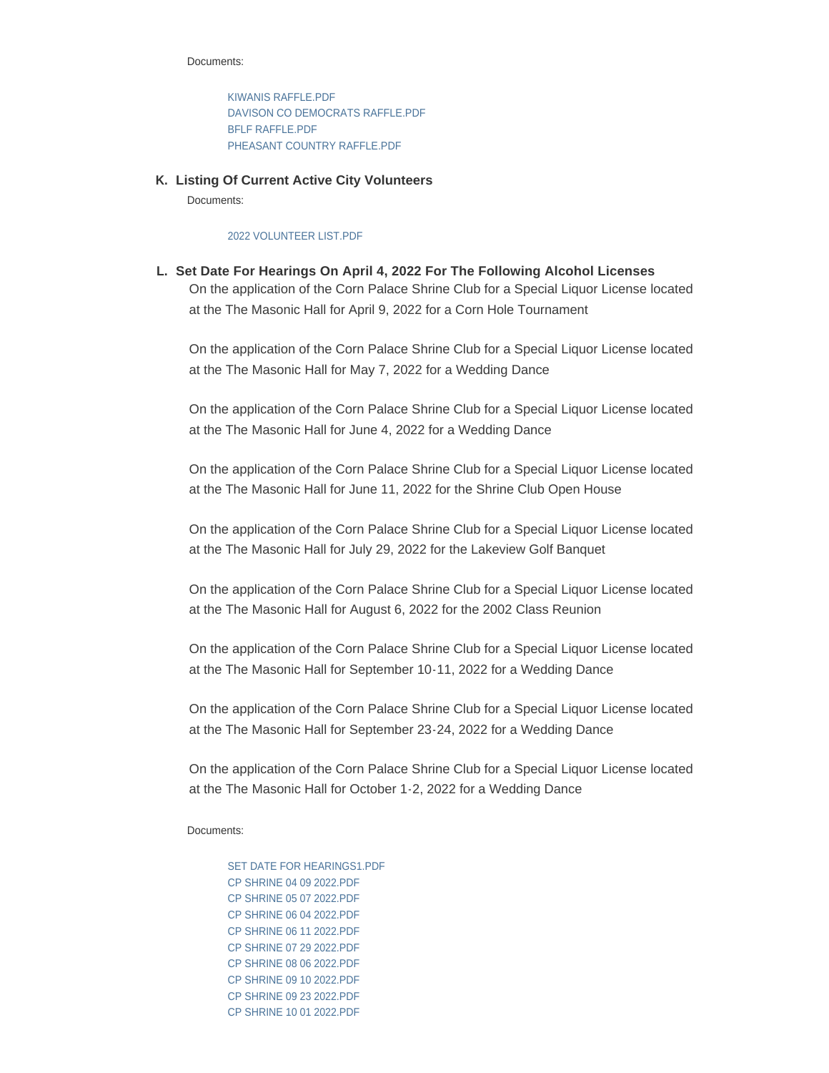#### Documents:

[KIWANIS RAFFLE.PDF](https://www.cityofmitchell.org/AgendaCenter/ViewFile/Item/13436?fileID=18938) [DAVISON CO DEMOCRATS RAFFLE.PDF](https://www.cityofmitchell.org/AgendaCenter/ViewFile/Item/13436?fileID=18939) [BFLF RAFFLE.PDF](https://www.cityofmitchell.org/AgendaCenter/ViewFile/Item/13436?fileID=18940) [PHEASANT COUNTRY RAFFLE.PDF](https://www.cityofmitchell.org/AgendaCenter/ViewFile/Item/13436?fileID=18941)

**Listing Of Current Active City Volunteers K.**

Documents:

### [2022 VOLUNTEER LIST.PDF](https://www.cityofmitchell.org/AgendaCenter/ViewFile/Item/13358?fileID=18761)

**Set Date For Hearings On April 4, 2022 For The Following Alcohol Licenses L.** On the application of the Corn Palace Shrine Club for a Special Liquor License located at the The Masonic Hall for April 9, 2022 for a Corn Hole Tournament

On the application of the Corn Palace Shrine Club for a Special Liquor License located at the The Masonic Hall for May 7, 2022 for a Wedding Dance

On the application of the Corn Palace Shrine Club for a Special Liquor License located at the The Masonic Hall for June 4, 2022 for a Wedding Dance

On the application of the Corn Palace Shrine Club for a Special Liquor License located at the The Masonic Hall for June 11, 2022 for the Shrine Club Open House

On the application of the Corn Palace Shrine Club for a Special Liquor License located at the The Masonic Hall for July 29, 2022 for the Lakeview Golf Banquet

On the application of the Corn Palace Shrine Club for a Special Liquor License located at the The Masonic Hall for August 6, 2022 for the 2002 Class Reunion

On the application of the Corn Palace Shrine Club for a Special Liquor License located at the The Masonic Hall for September 10-11, 2022 for a Wedding Dance

On the application of the Corn Palace Shrine Club for a Special Liquor License located at the The Masonic Hall for September 23-24, 2022 for a Wedding Dance

On the application of the Corn Palace Shrine Club for a Special Liquor License located at the The Masonic Hall for October 1-2, 2022 for a Wedding Dance

Documents:

[SET DATE FOR HEARINGS1.PDF](https://www.cityofmitchell.org/AgendaCenter/ViewFile/Item/13353?fileID=18755) [CP SHRINE 04 09 2022.PDF](https://www.cityofmitchell.org/AgendaCenter/ViewFile/Item/13353?fileID=18746) [CP SHRINE 05 07 2022.PDF](https://www.cityofmitchell.org/AgendaCenter/ViewFile/Item/13353?fileID=18747) [CP SHRINE 06 04 2022.PDF](https://www.cityofmitchell.org/AgendaCenter/ViewFile/Item/13353?fileID=18748) [CP SHRINE 06 11 2022.PDF](https://www.cityofmitchell.org/AgendaCenter/ViewFile/Item/13353?fileID=18749) [CP SHRINE 07 29 2022.PDF](https://www.cityofmitchell.org/AgendaCenter/ViewFile/Item/13353?fileID=18750) [CP SHRINE 08 06 2022.PDF](https://www.cityofmitchell.org/AgendaCenter/ViewFile/Item/13353?fileID=18751) [CP SHRINE 09 10 2022.PDF](https://www.cityofmitchell.org/AgendaCenter/ViewFile/Item/13353?fileID=18752) [CP SHRINE 09 23 2022.PDF](https://www.cityofmitchell.org/AgendaCenter/ViewFile/Item/13353?fileID=18753) [CP SHRINE 10 01 2022.PDF](https://www.cityofmitchell.org/AgendaCenter/ViewFile/Item/13353?fileID=18754)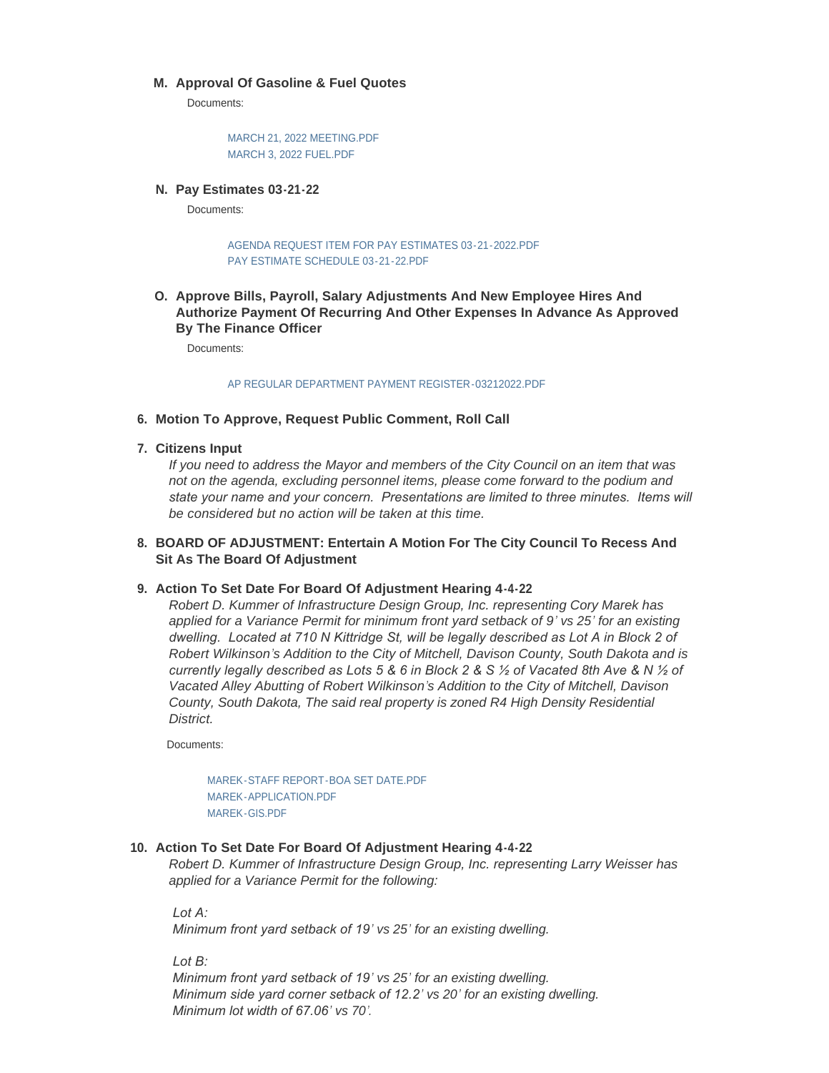# **Approval Of Gasoline & Fuel Quotes M.**

Documents:

[MARCH 21, 2022 MEETING.PDF](https://www.cityofmitchell.org/AgendaCenter/ViewFile/Item/13412?fileID=18829) [MARCH 3, 2022 FUEL.PDF](https://www.cityofmitchell.org/AgendaCenter/ViewFile/Item/13412?fileID=18830)

**Pay Estimates 03-21-22 N.**

Documents:

[AGENDA REQUEST ITEM FOR PAY ESTIMATES 03-21-2022.PDF](https://www.cityofmitchell.org/AgendaCenter/ViewFile/Item/13320?fileID=18855) [PAY ESTIMATE SCHEDULE 03-21-22.PDF](https://www.cityofmitchell.org/AgendaCenter/ViewFile/Item/13320?fileID=18866)

**Approve Bills, Payroll, Salary Adjustments And New Employee Hires And O. Authorize Payment Of Recurring And Other Expenses In Advance As Approved By The Finance Officer**

Documents:

#### [AP REGULAR DEPARTMENT PAYMENT REGISTER-03212022.PDF](https://www.cityofmitchell.org/AgendaCenter/ViewFile/Item/13384?fileID=18937)

### **Motion To Approve, Request Public Comment, Roll Call 6.**

## **Citizens Input 7.**

*If you need to address the Mayor and members of the City Council on an item that was not on the agenda, excluding personnel items, please come forward to the podium and state your name and your concern. Presentations are limited to three minutes. Items will be considered but no action will be taken at this time.* 

# **BOARD OF ADJUSTMENT: Entertain A Motion For The City Council To Recess And 8. Sit As The Board Of Adjustment**

# **Action To Set Date For Board Of Adjustment Hearing 4-4-22 9.**

*Robert D. Kummer of Infrastructure Design Group, Inc. representing Cory Marek has applied for a Variance Permit for minimum front yard setback of 9' vs 25' for an existing dwelling. Located at 710 N Kittridge St, will be legally described as Lot A in Block 2 of Robert Wilkinson's Addition to the City of Mitchell, Davison County, South Dakota and is currently legally described as Lots 5 & 6 in Block 2 & S ½ of Vacated 8th Ave & N ½ of Vacated Alley Abutting of Robert Wilkinson's Addition to the City of Mitchell, Davison County, South Dakota, The said real property is zoned R4 High Density Residential District.*

Documents:

[MAREK-STAFF REPORT-BOA SET DATE.PDF](https://www.cityofmitchell.org/AgendaCenter/ViewFile/Item/13451?fileID=18951) [MAREK-APPLICATION.PDF](https://www.cityofmitchell.org/AgendaCenter/ViewFile/Item/13451?fileID=18952) [MAREK-GIS.PDF](https://www.cityofmitchell.org/AgendaCenter/ViewFile/Item/13451?fileID=18953)

## **Action To Set Date For Board Of Adjustment Hearing 4-4-22 10.**

*Robert D. Kummer of Infrastructure Design Group, Inc. representing Larry Weisser has applied for a Variance Permit for the following:*

 *Lot A: Minimum front yard setback of 19' vs 25' for an existing dwelling.*

 *Lot B:* 

 *Minimum front yard setback of 19' vs 25' for an existing dwelling. Minimum side yard corner setback of 12.2' vs 20' for an existing dwelling. Minimum lot width of 67.06' vs 70'.*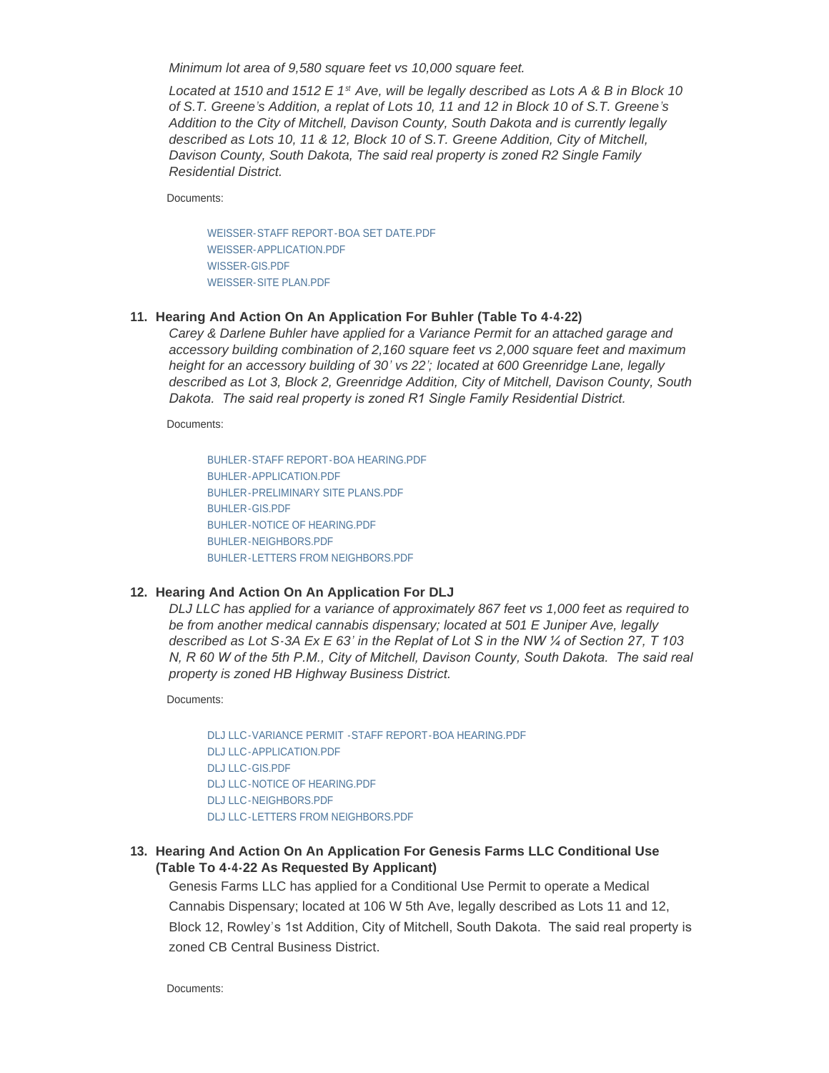*Minimum lot area of 9,580 square feet vs 10,000 square feet.*

Located at 1510 and 1512 E 1<sup>st</sup> Ave, will be legally described as Lots A & B in Block 10 *of S.T. Greene's Addition, a replat of Lots 10, 11 and 12 in Block 10 of S.T. Greene's Addition to the City of Mitchell, Davison County, South Dakota and is currently legally described as Lots 10, 11 & 12, Block 10 of S.T. Greene Addition, City of Mitchell, Davison County, South Dakota, The said real property is zoned R2 Single Family Residential District.*

Documents:

[WEISSER-STAFF REPORT-BOA SET DATE.PDF](https://www.cityofmitchell.org/AgendaCenter/ViewFile/Item/13449?fileID=18944) [WEISSER-APPLICATION.PDF](https://www.cityofmitchell.org/AgendaCenter/ViewFile/Item/13449?fileID=18945) [WISSER-GIS.PDF](https://www.cityofmitchell.org/AgendaCenter/ViewFile/Item/13449?fileID=18946) [WEISSER-SITE PLAN.PDF](https://www.cityofmitchell.org/AgendaCenter/ViewFile/Item/13449?fileID=18947)

### **Hearing And Action On An Application For Buhler (Table To 4-4-22) 11.**

*Carey & Darlene Buhler have applied for a Variance Permit for an attached garage and accessory building combination of 2,160 square feet vs 2,000 square feet and maximum height for an accessory building of 30' vs 22'; located at 600 Greenridge Lane, legally described as Lot 3, Block 2, Greenridge Addition, City of Mitchell, Davison County, South Dakota. The said real property is zoned R1 Single Family Residential District.*

Documents:

[BUHLER-STAFF REPORT-BOA HEARING.PDF](https://www.cityofmitchell.org/AgendaCenter/ViewFile/Item/13400?fileID=18898) [BUHLER-APPLICATION.PDF](https://www.cityofmitchell.org/AgendaCenter/ViewFile/Item/13400?fileID=18899) [BUHLER-PRELIMINARY SITE PLANS.PDF](https://www.cityofmitchell.org/AgendaCenter/ViewFile/Item/13400?fileID=18900) [BUHLER-GIS.PDF](https://www.cityofmitchell.org/AgendaCenter/ViewFile/Item/13400?fileID=18901) [BUHLER-NOTICE OF HEARING.PDF](https://www.cityofmitchell.org/AgendaCenter/ViewFile/Item/13400?fileID=18902) [BUHLER-NEIGHBORS.PDF](https://www.cityofmitchell.org/AgendaCenter/ViewFile/Item/13400?fileID=18903) [BUHLER-LETTERS FROM NEIGHBORS.PDF](https://www.cityofmitchell.org/AgendaCenter/ViewFile/Item/13400?fileID=18904)

### **Hearing And Action On An Application For DLJ 12.**

*DLJ LLC has applied for a variance of approximately 867 feet vs 1,000 feet as required to be from another medical cannabis dispensary; located at 501 E Juniper Ave, legally described as Lot S-3A Ex E 63' in the Replat of Lot S in the NW ¼ of Section 27, T 103 N, R 60 W of the 5th P.M., City of Mitchell, Davison County, South Dakota. The said real property is zoned HB Highway Business District.*

Documents:

[DLJ LLC-VARIANCE PERMIT -STAFF REPORT-BOA HEARING.PDF](https://www.cityofmitchell.org/AgendaCenter/ViewFile/Item/13401?fileID=18905) [DLJ LLC-APPLICATION.PDF](https://www.cityofmitchell.org/AgendaCenter/ViewFile/Item/13401?fileID=18906) [DLJ LLC-GIS.PDF](https://www.cityofmitchell.org/AgendaCenter/ViewFile/Item/13401?fileID=18907) [DLJ LLC-NOTICE OF HEARING.PDF](https://www.cityofmitchell.org/AgendaCenter/ViewFile/Item/13401?fileID=18908) [DLJ LLC-NEIGHBORS.PDF](https://www.cityofmitchell.org/AgendaCenter/ViewFile/Item/13401?fileID=18909) [DLJ LLC-LETTERS FROM NEIGHBORS.PDF](https://www.cityofmitchell.org/AgendaCenter/ViewFile/Item/13401?fileID=18910)

# **Hearing And Action On An Application For Genesis Farms LLC Conditional Use 13. (Table To 4-4-22 As Requested By Applicant)**

Genesis Farms LLC has applied for a Conditional Use Permit to operate a Medical Cannabis Dispensary; located at 106 W 5th Ave, legally described as Lots 11 and 12, Block 12, Rowley's 1st Addition, City of Mitchell, South Dakota. The said real property is zoned CB Central Business District.

Documents: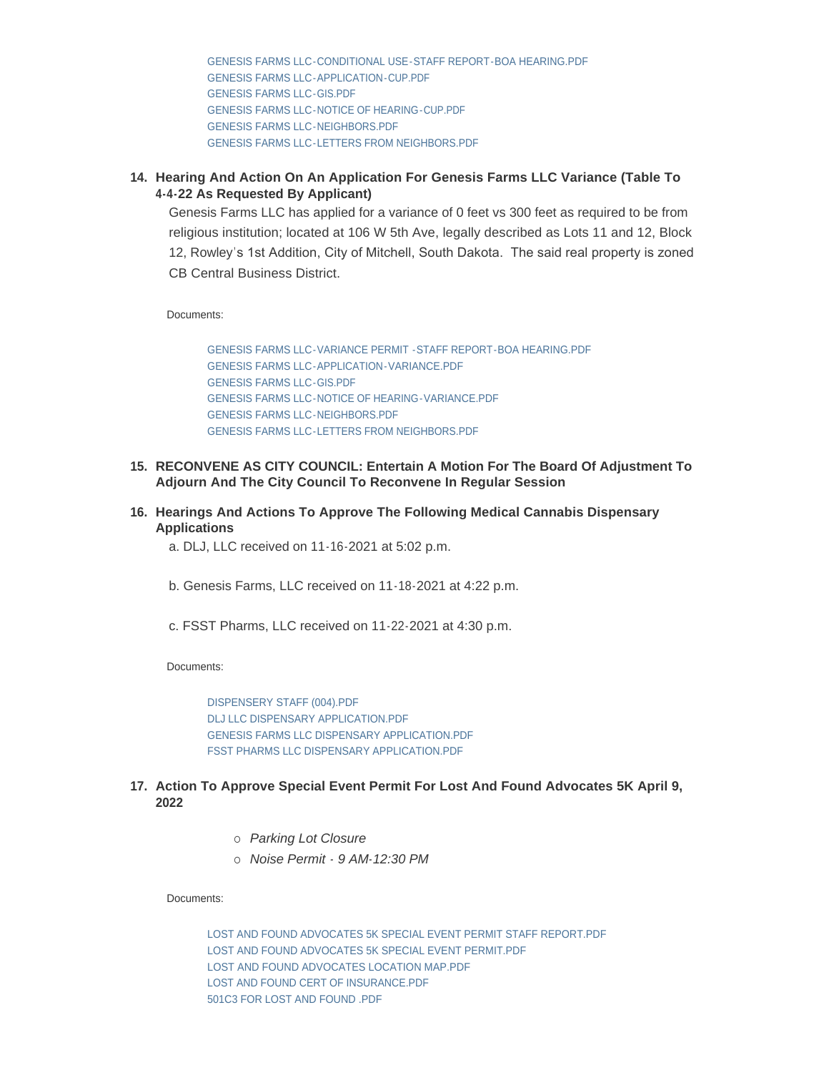[GENESIS FARMS LLC-CONDITIONAL USE-STAFF REPORT-BOA HEARING.PDF](https://www.cityofmitchell.org/AgendaCenter/ViewFile/Item/13399?fileID=18927) [GENESIS FARMS LLC-APPLICATION-CUP.PDF](https://www.cityofmitchell.org/AgendaCenter/ViewFile/Item/13399?fileID=18928) [GENESIS FARMS LLC-GIS.PDF](https://www.cityofmitchell.org/AgendaCenter/ViewFile/Item/13399?fileID=18929) [GENESIS FARMS LLC-NOTICE OF HEARING-CUP.PDF](https://www.cityofmitchell.org/AgendaCenter/ViewFile/Item/13399?fileID=18930) [GENESIS FARMS LLC-NEIGHBORS.PDF](https://www.cityofmitchell.org/AgendaCenter/ViewFile/Item/13399?fileID=18931) [GENESIS FARMS LLC-LETTERS FROM NEIGHBORS.PDF](https://www.cityofmitchell.org/AgendaCenter/ViewFile/Item/13399?fileID=18932)

# **Hearing And Action On An Application For Genesis Farms LLC Variance (Table To 14. 4-4-22 As Requested By Applicant)**

Genesis Farms LLC has applied for a variance of 0 feet vs 300 feet as required to be from religious institution; located at 106 W 5th Ave, legally described as Lots 11 and 12, Block 12, Rowley's 1st Addition, City of Mitchell, South Dakota. The said real property is zoned CB Central Business District.

Documents:

[GENESIS FARMS LLC-VARIANCE PERMIT -STAFF REPORT-BOA HEARING.PDF](https://www.cityofmitchell.org/AgendaCenter/ViewFile/Item/13398?fileID=18917) [GENESIS FARMS LLC-APPLICATION-VARIANCE.PDF](https://www.cityofmitchell.org/AgendaCenter/ViewFile/Item/13398?fileID=18918) [GENESIS FARMS LLC-GIS.PDF](https://www.cityofmitchell.org/AgendaCenter/ViewFile/Item/13398?fileID=18919) [GENESIS FARMS LLC-NOTICE OF HEARING-VARIANCE.PDF](https://www.cityofmitchell.org/AgendaCenter/ViewFile/Item/13398?fileID=18920) [GENESIS FARMS LLC-NEIGHBORS.PDF](https://www.cityofmitchell.org/AgendaCenter/ViewFile/Item/13398?fileID=18921) [GENESIS FARMS LLC-LETTERS FROM NEIGHBORS.PDF](https://www.cityofmitchell.org/AgendaCenter/ViewFile/Item/13398?fileID=18922)

- **RECONVENE AS CITY COUNCIL: Entertain A Motion For The Board Of Adjustment To 15. Adjourn And The City Council To Reconvene In Regular Session**
- **Hearings And Actions To Approve The Following Medical Cannabis Dispensary 16. Applications**

a. DLJ, LLC received on 11-16-2021 at 5:02 p.m.

b. Genesis Farms, LLC received on 11-18-2021 at 4:22 p.m.

c. FSST Pharms, LLC received on 11-22-2021 at 4:30 p.m.

Documents:

[DISPENSERY STAFF \(004\).PDF](https://www.cityofmitchell.org/AgendaCenter/ViewFile/Item/13433?fileID=18871) [DLJ LLC DISPENSARY APPLICATION.PDF](https://www.cityofmitchell.org/AgendaCenter/ViewFile/Item/13433?fileID=18872) [GENESIS FARMS LLC DISPENSARY APPLICATION.PDF](https://www.cityofmitchell.org/AgendaCenter/ViewFile/Item/13433?fileID=18874) [FSST PHARMS LLC DISPENSARY APPLICATION.PDF](https://www.cityofmitchell.org/AgendaCenter/ViewFile/Item/13433?fileID=18873)

- **Action To Approve Special Event Permit For Lost And Found Advocates 5K April 9, 17. 2022**
	- ¡ *Parking Lot Closure*
	- ¡ *Noise Permit 9 AM-12:30 PM*

Documents:

[LOST AND FOUND ADVOCATES 5K SPECIAL EVENT PERMIT STAFF REPORT.PDF](https://www.cityofmitchell.org/AgendaCenter/ViewFile/Item/13431?fileID=18878) [LOST AND FOUND ADVOCATES 5K SPECIAL EVENT PERMIT.PDF](https://www.cityofmitchell.org/AgendaCenter/ViewFile/Item/13431?fileID=18879) [LOST AND FOUND ADVOCATES LOCATION MAP.PDF](https://www.cityofmitchell.org/AgendaCenter/ViewFile/Item/13431?fileID=18933) [LOST AND FOUND CERT OF INSURANCE.PDF](https://www.cityofmitchell.org/AgendaCenter/ViewFile/Item/13431?fileID=18867) [501C3 FOR LOST AND FOUND .PDF](https://www.cityofmitchell.org/AgendaCenter/ViewFile/Item/13431?fileID=18868)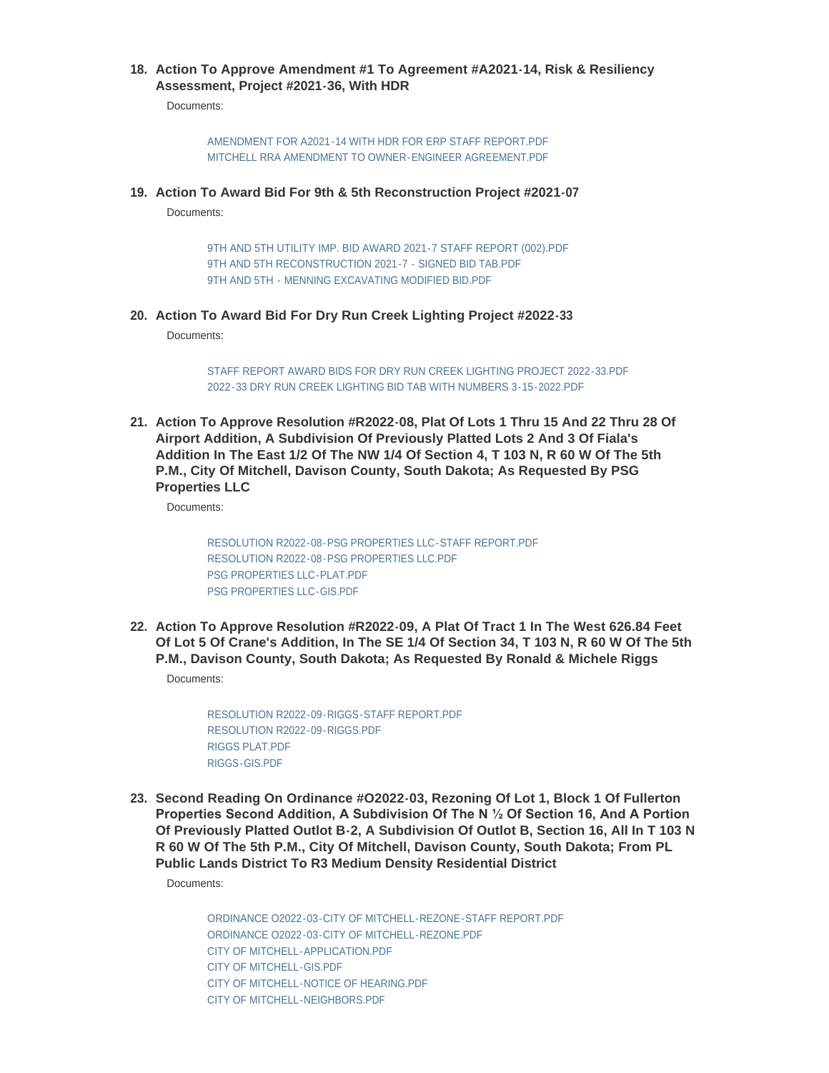# **Action To Approve Amendment #1 To Agreement #A2021-14, Risk & Resiliency 18. Assessment, Project #2021-36, With HDR**

Documents:

[AMENDMENT FOR A2021-14 WITH HDR FOR ERP STAFF REPORT.PDF](https://www.cityofmitchell.org/AgendaCenter/ViewFile/Item/13333?fileID=18860) [MITCHELL RRA AMENDMENT TO OWNER-ENGINEER AGREEMENT.PDF](https://www.cityofmitchell.org/AgendaCenter/ViewFile/Item/13333?fileID=18734)

**Action To Award Bid For 9th & 5th Reconstruction Project #2021-07 19.**

Documents:

[9TH AND 5TH UTILITY IMP. BID AWARD 2021-7 STAFF REPORT \(002\).PDF](https://www.cityofmitchell.org/AgendaCenter/ViewFile/Item/13321?fileID=18934) [9TH AND 5TH RECONSTRUCTION 2021-7 - SIGNED BID TAB.PDF](https://www.cityofmitchell.org/AgendaCenter/ViewFile/Item/13321?fileID=18935) [9TH AND 5TH - MENNING EXCAVATING MODIFIED BID.PDF](https://www.cityofmitchell.org/AgendaCenter/ViewFile/Item/13321?fileID=18936)

**Action To Award Bid For Dry Run Creek Lighting Project #2022-33 20.**

Documents:

[STAFF REPORT AWARD BIDS FOR DRY RUN CREEK LIGHTING PROJECT 2022-33.PDF](https://www.cityofmitchell.org/AgendaCenter/ViewFile/Item/13319?fileID=18888) [2022-33 DRY RUN CREEK LIGHTING BID TAB WITH NUMBERS 3-15-2022.PDF](https://www.cityofmitchell.org/AgendaCenter/ViewFile/Item/13319?fileID=18885)

**Action To Approve Resolution #R2022-08, Plat Of Lots 1 Thru 15 And 22 Thru 28 Of 21. Airport Addition, A Subdivision Of Previously Platted Lots 2 And 3 Of Fiala's Addition In The East 1/2 Of The NW 1/4 Of Section 4, T 103 N, R 60 W Of The 5th P.M., City Of Mitchell, Davison County, South Dakota; As Requested By PSG Properties LLC**

Documents:

[RESOLUTION R2022-08-PSG PROPERTIES LLC-STAFF REPORT.PDF](https://www.cityofmitchell.org/AgendaCenter/ViewFile/Item/13402?fileID=18890) [RESOLUTION R2022-08-PSG PROPERTIES LLC.PDF](https://www.cityofmitchell.org/AgendaCenter/ViewFile/Item/13402?fileID=18891) [PSG PROPERTIES LLC-PLAT.PDF](https://www.cityofmitchell.org/AgendaCenter/ViewFile/Item/13402?fileID=18892) [PSG PROPERTIES LLC-GIS.PDF](https://www.cityofmitchell.org/AgendaCenter/ViewFile/Item/13402?fileID=18893)

**Action To Approve Resolution #R2022-09, A Plat Of Tract 1 In The West 626.84 Feet 22. Of Lot 5 Of Crane's Addition, In The SE 1/4 Of Section 34, T 103 N, R 60 W Of The 5th P.M., Davison County, South Dakota; As Requested By Ronald & Michele Riggs**

Documents:

[RESOLUTION R2022-09-RIGGS-STAFF REPORT.PDF](https://www.cityofmitchell.org/AgendaCenter/ViewFile/Item/13403?fileID=18894) [RESOLUTION R2022-09-RIGGS.PDF](https://www.cityofmitchell.org/AgendaCenter/ViewFile/Item/13403?fileID=18895) [RIGGS PLAT.PDF](https://www.cityofmitchell.org/AgendaCenter/ViewFile/Item/13403?fileID=18896) [RIGGS-GIS.PDF](https://www.cityofmitchell.org/AgendaCenter/ViewFile/Item/13403?fileID=18897)

**Second Reading On Ordinance #O2022-03, Rezoning Of Lot 1, Block 1 Of Fullerton 23. Properties Second Addition, A Subdivision Of The N ½ Of Section 16, And A Portion Of Previously Platted Outlot B-2, A Subdivision Of Outlot B, Section 16, All In T 103 N R 60 W Of The 5th P.M., City Of Mitchell, Davison County, South Dakota; From PL Public Lands District To R3 Medium Density Residential District**

Documents:

[ORDINANCE O2022-03-CITY OF MITCHELL-REZONE-STAFF REPORT.PDF](https://www.cityofmitchell.org/AgendaCenter/ViewFile/Item/13270?fileID=18666) [ORDINANCE O2022-03-CITY OF MITCHELL-REZONE.PDF](https://www.cityofmitchell.org/AgendaCenter/ViewFile/Item/13270?fileID=18667) [CITY OF MITCHELL-APPLICATION.PDF](https://www.cityofmitchell.org/AgendaCenter/ViewFile/Item/13270?fileID=18668) [CITY OF MITCHELL-GIS.PDF](https://www.cityofmitchell.org/AgendaCenter/ViewFile/Item/13270?fileID=18669) [CITY OF MITCHELL-NOTICE OF HEARING.PDF](https://www.cityofmitchell.org/AgendaCenter/ViewFile/Item/13270?fileID=18670) [CITY OF MITCHELL-NEIGHBORS.PDF](https://www.cityofmitchell.org/AgendaCenter/ViewFile/Item/13270?fileID=18671)